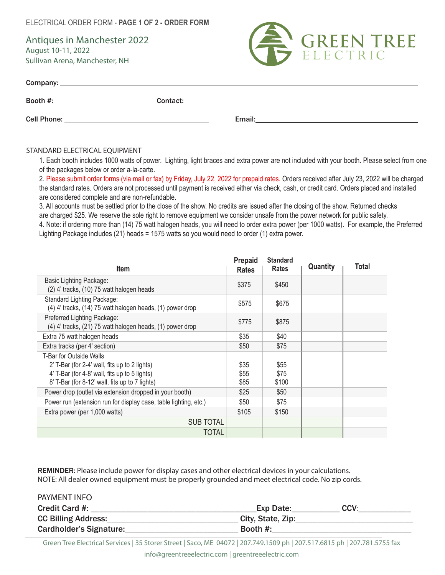ELECTRICAL ORDER FORM - **PAGE 1 OF 2 - ORDER FORM**

Antiques in Manchester 2022 August 10-11, 2022 Sullivan Arena, Manchester, NH



| Company:           |          |        |
|--------------------|----------|--------|
| Booth #:           | Contact: |        |
| <b>Cell Phone:</b> |          | Email: |

## STANDARD ELECTRICAL EQUIPMENT

PAYMENT INFO

1. Each booth includes 1000 watts of power. Lighting, light braces and extra power are not included with your booth. Please select from one of the packages below or order a-la-carte.

2. Please submit order forms (via mail or fax) by Friday, July 22, 2022 for prepaid rates. Orders received after July 23, 2022 will be charged the standard rates. Orders are not processed until payment is received either via check, cash, or credit card. Orders placed and installed are considered complete and are non-refundable.

3. All accounts must be settled prior to the close of the show. No credits are issued after the closing of the show. Returned checks are charged \$25. We reserve the sole right to remove equipment we consider unsafe from the power network for public safety. 4. Note: if ordering more than (14) 75 watt halogen heads, you will need to order extra power (per 1000 watts). For example, the Preferred

Lighting Package includes (21) heads = 1575 watts so you would need to order (1) extra power.

| <b>Item</b>                                                                                                                                                                 | <b>Prepaid</b><br><b>Rates</b> | <b>Standard</b><br><b>Rates</b> | <b>Quantity</b> | Total |
|-----------------------------------------------------------------------------------------------------------------------------------------------------------------------------|--------------------------------|---------------------------------|-----------------|-------|
| Basic Lighting Package:<br>(2) 4' tracks, (10) 75 watt halogen heads                                                                                                        | \$375                          | \$450                           |                 |       |
| Standard Lighting Package:<br>(4) 4' tracks, (14) 75 watt halogen heads, (1) power drop                                                                                     | \$575                          | \$675                           |                 |       |
| Preferred Lighting Package:<br>$(4)$ 4' tracks, $(21)$ 75 watt halogen heads, $(1)$ power drop                                                                              | \$775                          | \$875                           |                 |       |
| Extra 75 watt halogen heads                                                                                                                                                 | \$35                           | \$40                            |                 |       |
| Extra tracks (per 4' section)                                                                                                                                               | \$50                           | \$75                            |                 |       |
| T-Bar for Outside Walls<br>2' T-Bar (for 2-4' wall, fits up to 2 lights)<br>4' T-Bar (for 4-8' wall, fits up to 5 lights)<br>8' T-Bar (for 8-12' wall, fits up to 7 lights) | \$35<br>\$55<br>\$85           | \$55<br>\$75<br>\$100           |                 |       |
| Power drop (outlet via extension dropped in your booth)                                                                                                                     | \$25                           | \$50                            |                 |       |
| Power run (extension run for display case, table lighting, etc.)                                                                                                            | \$50                           | \$75                            |                 |       |
| Extra power (per 1,000 watts)                                                                                                                                               | \$105                          | \$150                           |                 |       |
| <b>SUB TOTAL</b>                                                                                                                                                            |                                |                                 |                 |       |
| <b>TOTAL</b>                                                                                                                                                                |                                |                                 |                 |       |

REMINDER: Please include power for display cases and other electrical devices in your calculations. NOTE: All dealer owned equipment must be properly grounded and meet electrical code. No zip cords.

| PAYMENT INFO               |                   |      |
|----------------------------|-------------------|------|
| Credit Card #:             | Exp Date:         | CCV: |
| <b>CC Billing Address:</b> | City, State, Zip: |      |
| Cardholder's Signature:    | Booth #:          |      |

Green Tree Electrical Services | 35 Storer Street | Saco, ME 04072 | 207.749.1509 ph | 207.517.6815 ph | 207.781.5755 fax